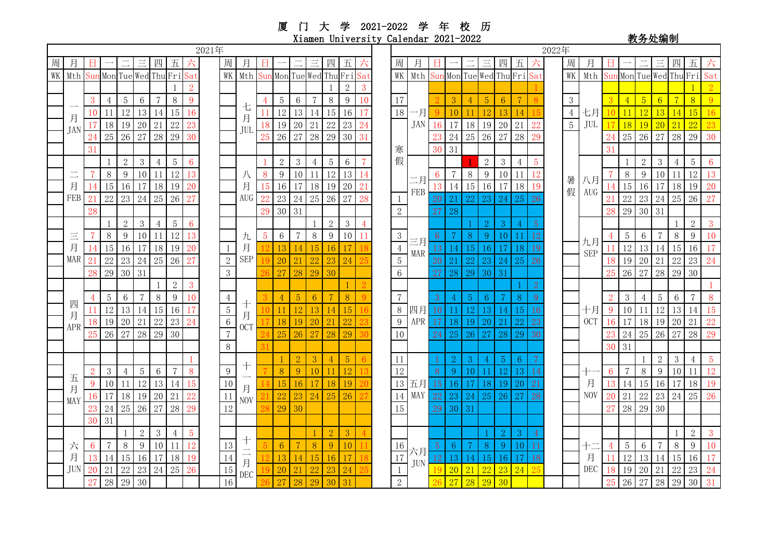厦 门 大 学 2021-2022 学 年 校 历 Xiamen University Calendar 2021-2022 <br>
<sub>教务处编制</sub>

| 2021年 |                             |    |                |                |                |                |                  |                 | 2022年 |                  |                                                  |                |                 |                |                |                     |                 |                |                                                          |                  |                  |                         |       |                 |              |                |                |                |            |                         |               |        |                |                 |                |                         |                 |               |
|-------|-----------------------------|----|----------------|----------------|----------------|----------------|------------------|-----------------|-------|------------------|--------------------------------------------------|----------------|-----------------|----------------|----------------|---------------------|-----------------|----------------|----------------------------------------------------------|------------------|------------------|-------------------------|-------|-----------------|--------------|----------------|----------------|----------------|------------|-------------------------|---------------|--------|----------------|-----------------|----------------|-------------------------|-----------------|---------------|
| 周     |                             |    |                |                |                |                |                  |                 |       | 周                |                                                  |                |                 |                |                |                     | 五               |                |                                                          | 周                |                  |                         |       |                 |              |                |                |                |            | 周                       |               |        |                |                 |                |                         | 五               |               |
| WK    | Mth Sun Mon Tue Wed Thu Fri |    |                |                |                |                |                  | Sat             |       | WK               | Mth                                              |                |                 |                |                | Sun Mon Tue Wed Thu | Fri             | Sat            |                                                          | WK               | Mth              | Sun Mon Tue Wed Thu Fri |       |                 |              |                |                |                |            | WK                      | Mth           |        |                |                 |                | Sun Mon Tue Wed Thu Fri |                 | Sat           |
|       | 月<br><b>JAN</b>             |    |                |                |                |                |                  | $\overline{2}$  |       |                  |                                                  |                |                 |                |                |                     | $\overline{2}$  | 3              | 17<br>18<br>寒                                            |                  | 一月<br><b>JAN</b> |                         |       |                 |              |                |                |                |            |                         | 七月<br>JUL     |        |                |                 |                |                         |                 |               |
|       |                             | 3  | 4              | 5              | 6              | 7              | $8\,$            | 9               |       |                  |                                                  |                | 5<br>12         | 6              | $\overline{7}$ | $8\,$               | 9               | 10             |                                                          |                  |                  |                         | 3     |                 | $\sqrt{5}$   | 6              | $\overline{7}$ |                |            | 3                       |               |        |                | $5\overline{)}$ | 6 <sup>1</sup> |                         | $\sqrt{8}$      | 9             |
|       |                             | 10 | 11             | 12             | 13             |                | 15               | 16              |       |                  | 七                                                |                |                 | 13             | 14             | 15                  | 16              |                |                                                          |                  |                  |                         | 10    |                 |              |                |                |                |            | $\overline{4}$<br>$5\,$ |               | 10     | 11             | 12              | 13             |                         | 15              | 16            |
|       |                             | 17 | 18             | 19             | 20             | 21             | 22               |                 |       |                  | 月                                                | 18             | 19              | 20             | 21             | 22                  | 23              | 24             |                                                          |                  |                  | 16                      |       | 17 18           | 19           | 20             | 21             |                |            |                         |               | 17     | 18             | 19              | 20             | 21                      | $\overline{22}$ | 23            |
|       |                             | 24 | 25             | 26             | 27             | 28             | 29               | 30              |       |                  | JUL                                              |                | 26<br>25        | 27             | 28             | 29                  | 30              | 31             |                                                          |                  |                  | 23                      | 24 25 |                 | 26           | 27             | 28             |                |            |                         |               |        | 25             | 26              | 27             | 28                      | 29              | 30            |
|       |                             | 31 |                |                |                |                |                  |                 |       |                  |                                                  |                |                 |                |                |                     |                 |                |                                                          |                  | 30               | 31                      |       |                 |              |                |                |                |            |                         | 31            |        |                |                 |                |                         |                 |               |
|       | 月                           |    |                | $\overline{2}$ | 3              | $\overline{4}$ | $\overline{5}$   | $6\phantom{a}$  |       |                  |                                                  |                | $\overline{2}$  | $\mathfrak{Z}$ | $\overline{4}$ | $5\,$               | $6\phantom{1}6$ | $\overline{7}$ | 假                                                        |                  |                  |                         |       | 2               | $\mathbf{3}$ | $\overline{4}$ | $\overline{5}$ |                |            |                         |               |        | $\overline{2}$ | 3               | $\overline{4}$ | $\overline{5}$          | $6\phantom{1}6$ |               |
|       |                             |    | $8\,$          | 9              | 10             | 11             | 12               | 13              |       |                  | 八                                                | 8              | 9               | 10             | <sup>11</sup>  | 12                  | 13              | 14             |                                                          | 二月<br>FEB        | 6                | $\tau$                  | 8     | 9               | 10           | 11             | 12             |                |            |                         |               | 8      | 9              | 10              | 11             | $\overline{12}$         | 13              |               |
|       |                             | 14 | 15             | 16             | 17             | 18             | 19               | 20              |       |                  | 月                                                | 15             | 16              | 17             | 18             | 19                  | 20              | 21             |                                                          |                  | 13               | 14                      | 15    | 16              | 17           | 18             | 19             |                |            | 暑 八月<br>假 AUG           | 14            | 15     | 16             | 17              | 18             | 19                      | 20              |               |
|       | FEB                         | 21 | $22\,$         | 23             | 24             | 25             | 26               |                 |       |                  | <b>AUG</b>                                       | 22             | 23              | 24             | 25             | 26                  | 27              | 28             |                                                          |                  | 20               | 21                      | 22    | 23              |              | 25             |                |                |            |                         | 21            | $22\,$ | 23             | 24              | 25             | 26                      | 27              |               |
|       |                             | 28 |                |                |                |                |                  |                 |       |                  |                                                  | 29             |                 | 30 31          |                |                     |                 |                |                                                          | $\sqrt{2}$       |                  | 27                      | 28    |                 |              |                |                |                |            |                         |               | 28     | $29\,$         | 30              | 31             |                         |                 |               |
|       |                             |    |                | $\mathbf{2}$   | 3              | 4              | $\overline{5}$   | $6\phantom{1}6$ |       |                  |                                                  |                |                 |                |                | $\mathbf{2}$        | 3               | $\overline{4}$ |                                                          |                  |                  |                         |       | 2               | 3            |                | 5              |                |            | 九月<br><b>SEP</b>        |               |        |                |                 |                | $\overline{2}$          | $\overline{3}$  |               |
|       | Ξ<br>月<br>MAR               |    | $8\,$          | 9              | 10             | 11             | 12               | 13              |       |                  | 九                                                | $\overline{5}$ | $\,6\,$         | $\overline{7}$ | $8\,$          | 9                   | 10              |                | $\sqrt{3}$                                               |                  | 6                |                         | -8    | 9               |              |                |                |                |            |                         |               | 5      | 6              |                 | 8              | 9                       | 10              |               |
|       |                             |    | 15             | 16             | 17             | 18             | 19               | 20              |       |                  | 月<br><b>SEP</b>                                  |                |                 |                | 15             |                     |                 |                | $\,4$<br><b>MAR</b><br>$\overline{5}$<br>$6\phantom{.}6$ | 三月               | 13               |                         | 15    |                 |              | 18             | 19             |                |            |                         |               | 12     | 13             | 14              | 15             | 16                      | 17              |               |
|       |                             | 21 | 22             | 23             | 24             | 25             | 26               |                 |       | $\sqrt{2}$       |                                                  |                | 20              | 21             | 22             | 23                  | 24              |                |                                                          |                  | 20               | 21                      | 22    | 23              |              | 25             | 26             |                |            |                         |               | 19     | 20             | 21              | 22             | 23                      | 24              |               |
|       |                             | 28 | 29             | 30             | 31             |                |                  |                 |       | $\mathfrak{Z}$   |                                                  |                | 27              | 28             | 29             | 30                  |                 |                |                                                          |                  |                  | 29<br>28                | 30    | 31              |              |                |                |                |            |                         | 26            | 27     | 28             | 29              | 30             |                         |                 |               |
|       | 四<br>月<br><b>APR</b>        |    |                |                |                |                | $\sqrt{2}$       | 3               |       |                  | 月                                                |                |                 |                |                |                     |                 |                | $\overline{7}$<br>$8\,$<br>$\overline{9}$<br>10          |                  |                  |                         |       |                 |              |                |                | $\overline{2}$ |            |                         |               |        |                |                 |                |                         |                 |               |
|       |                             |    | 5              | 6              | $\overline{7}$ | $8\,$          | $\boldsymbol{9}$ | 10              |       | $\overline{4}$   |                                                  |                |                 | $\overline{5}$ | 6              | $\overline{7}$      | 8               |                |                                                          | 四月<br><b>APR</b> | 3                |                         | $-5$  | $6\overline{6}$ |              | 8              | 9              |                |            | 十月<br><b>OCT</b>        | $\mathcal{D}$ | $3 -$  | $\overline{4}$ | $\overline{5}$  | $6\,$          | $\overline{7}$          | 8               |               |
|       |                             |    | 12             | 13             | 14             | 15             | 16               | 17              |       | $\sqrt{5}$       |                                                  |                | 11              |                |                |                     | 15              |                |                                                          |                  | 10               |                         | 12    | 13              | 14           | 15             | 16             |                |            |                         | 9             | 10     | 11             | 12              | 13 14          |                         | 15              |               |
|       |                             | 18 | 19             | 20             | 21             | 22             | 23               | 24              |       | $6\,$            | <b>OCT</b>                                       |                |                 | 19             | 20             | 21                  | 22              |                |                                                          |                  | 17               | 18                      | 19    | 20              | 21           | 22             | 23             |                |            |                         | 16            | 17     |                | 18 19           | 20             | 21                      | 22              |               |
|       |                             | 25 | 26 27          |                | 28             | 29             | 30               |                 |       | $\overline{7}$   |                                                  |                | 25              | 26             | 27             | 28                  | 29              |                |                                                          |                  |                  | 25                      | 26    | 27              | 28           | 29             | 30             |                |            |                         | 23            | 24     | 25             | 26              | 27             | 28                      | 29              |               |
|       |                             |    |                |                |                |                |                  |                 |       | $8\,$            |                                                  |                |                 |                |                |                     |                 |                |                                                          |                  |                  |                         |       |                 |              |                |                |                |            |                         |               | 30     | 31             |                 |                |                         |                 |               |
|       |                             |    |                |                |                |                |                  |                 |       |                  | ╈<br>月<br><b>NOV</b>                             |                |                 |                | 3              |                     | $\overline{5}$  |                | 11<br>$12\,$                                             |                  | -1               | $\overline{2}$          | -3    |                 | $\sqrt{5}$   | $6^{\circ}$    |                |                |            |                         |               |        |                | $\overline{2}$  | 3              | $\overline{4}$          | $\overline{5}$  |               |
|       |                             | 2  | $\mathfrak{Z}$ | 4              | $5\,$          | $6\,$          | $\overline{7}$   | 8               |       | $\boldsymbol{9}$ |                                                  |                | 8               | 9              | 10             |                     | 12              |                |                                                          |                  |                  | 8                       | 9     | 10              |              | 12             | 13             |                |            |                         | 月             | 6      | $\overline{7}$ | 8               | 9              | 10                      | 11              | <sup>12</sup> |
|       | 五<br>月                      | 9  | 10             |                | 12             | 13             | 14               | 15              |       | 10               |                                                  |                | 15              | 16             | 17             | 18                  | 19              |                |                                                          | 13               | 五月               | 15                      | 16    | 17              | 18           | 19             | 20             | 21             |            |                         |               | 13     | 14             | 15              | 16             | 17                      | 18              | 19            |
|       | MAY                         | 16 | 17             | 18             | 19             | 20             | 21               |                 |       | 11               |                                                  |                | 24              | 25             | 26             |                     |                 | 14             | MAY                                                      | 22               | 23               | 24                      | 25    | 26              | 27           | 28             |                |                | <b>NOV</b> | 20                      | 21            | 22     | 23             | 24              | 25             | 26                      |                 |               |
|       |                             | 23 | 24             | 25             | 26             | 27             | 28               | 29              |       | 12               |                                                  |                | 29              | 30             |                |                     |                 |                |                                                          | 15               |                  | 29                      | 30    | 31              |              |                |                |                |            |                         |               |        | 28             | 29              | 30             |                         |                 |               |
|       |                             | 30 | 31             |                |                |                |                  |                 |       |                  |                                                  |                |                 |                |                |                     |                 |                |                                                          |                  |                  |                         |       |                 |              |                |                |                |            |                         |               |        |                |                 |                |                         |                 |               |
|       | 六<br>月<br><b>JUN</b>        |    |                |                | $\overline{2}$ | 3              | $\overline{4}$   | 5               |       |                  | 十<br>$\overline{\phantom{0}}$<br>月<br><b>DEC</b> |                |                 |                |                | $\overline{2}$      | 3               |                | 17                                                       |                  |                  |                         |       |                 |              | $\mathcal{L}$  | 3              |                |            |                         |               |        |                |                 |                |                         | $\overline{2}$  | 3             |
|       |                             | 6  | $\overline{7}$ | 8              | 9              | 10             | 11               | 12              |       | 13               |                                                  |                | $6\overline{6}$ |                | 8              | 9                   | 10              |                |                                                          | 16               | 六月               | $\sqrt{5}$              | 6     |                 | 8            | 9              | 10             |                |            |                         | 十二<br>月       |        | 5              | 6               |                | $\, 8$                  | 9               | 10            |
|       |                             | 13 | 14             | 15             | 16             | 17             | 18               | 19              |       | 14               |                                                  |                |                 |                | 15             |                     | 17              |                |                                                          |                  | <b>JUN</b>       | 12                      | 13.   | 14              |              | 16             | 17             | 18             |            |                         |               |        | 12             | 13              | 14             | 15                      | 16              | 17            |
|       |                             | 20 | 21             | 22             | 23             | 24             | 25               | 26              |       | $15\,$           |                                                  |                | 20              | 21             | 22             |                     | 24              |                |                                                          |                  | 19               | 20                      | 21    | 22              | 23           | 24             |                |                |            | <b>DEC</b>              | 18            | 19     | 20             | 21              | 22             | 23                      | 24              |               |
|       |                             | 27 | $28\,$         | 29             | 30             |                |                  |                 |       | 16               |                                                  |                | 27              | 28             | 29             | 30                  | 31              |                | $\overline{2}$                                           |                  |                  | 27                      | 28    | 29              | 30           |                |                |                |            |                         | 25            | $26\,$ | 27             | 28              | 29             | 30                      | 31              |               |